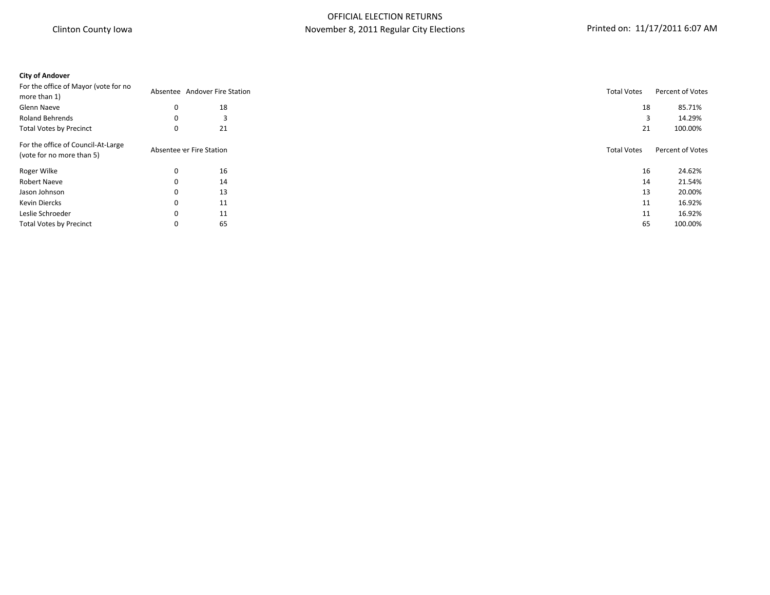# **City of Andover** For the office of Mayor (vote for no of the strike strike of the Station and Absentee Andover Fire Station and the Station Total Votes Percent of Votes Percent of Votes Percent of Votes Percent of Votes Andover Fire Station and the Station of the Station and Glenn Naeve  $0$  18  $85.71\%$ Roland Behrends 0 3 3 14.29% Total Votes by Precinct 0 21 21 100.00% For the office of Council-At-Large (vote for the children of the Station of Votes Percent of Votes Percent of Votes Percent of Votes Absentee er Fire Station and Station Total Votes Percent of Votes Percent of Votes Andre Line of Votes Percent of Votes Perc Roger Wilke 0 16 16 24.62% Robert Naeve 0 14 14 21.54% Jason Johnson 0 13 13 20.00% Kevin Diercks 0 11 11 16.92% Leslie Schroeder 0 11 11 16.92% Total Votes by Precinct **100.00% 65** 100.00%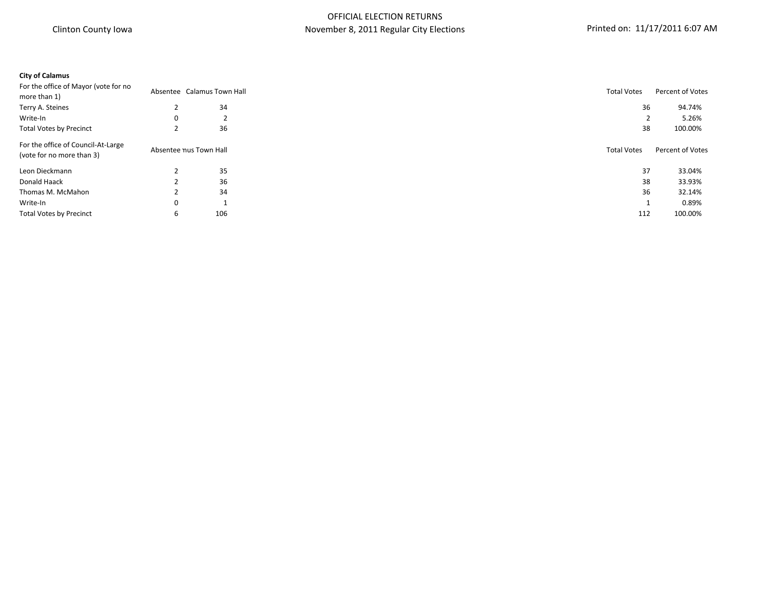# **City of Calamus**

|   |     | <b>Total Votes</b>                                   | Percent of Votes |
|---|-----|------------------------------------------------------|------------------|
|   | 34  | 36                                                   | 94.74%           |
| 0 | 2   |                                                      | 5.26%            |
|   | 36  | 38                                                   | 100.00%          |
|   |     | <b>Total Votes</b>                                   | Percent of Votes |
|   | 35  | 37                                                   | 33.04%           |
|   | 36  | 38                                                   | 33.93%           |
|   | 34  | 36                                                   | 32.14%           |
| 0 |     |                                                      | 0.89%            |
| 6 | 106 | 112                                                  | 100.00%          |
|   |     | Absentee Calamus Town Hall<br>Absentee nus Town Hall |                  |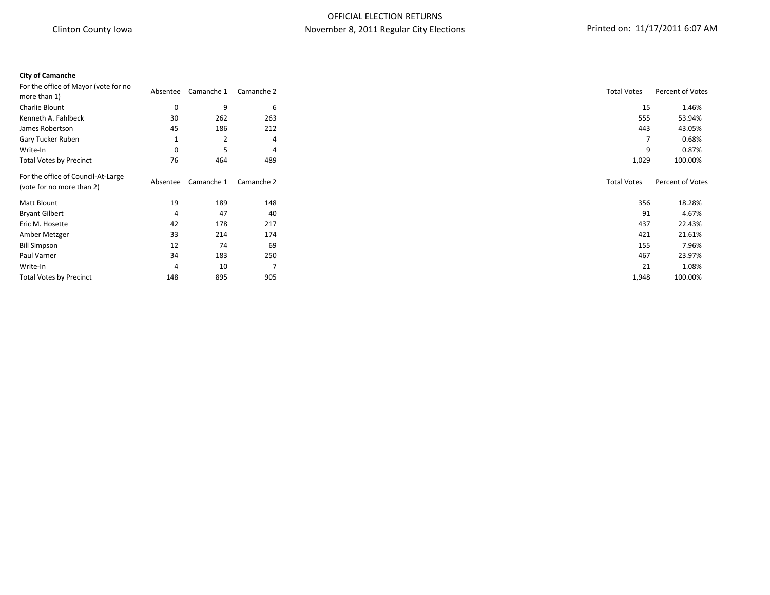# OFFICIAL ELECTION RETURNS November 8, 2011 Regular City Elections **Printed on: 11/17/2011 6:07 AM**

#### **City of Camanche**

| For the office of Mayor (vote for no                            |          |                |                |                    | Percent of Votes |
|-----------------------------------------------------------------|----------|----------------|----------------|--------------------|------------------|
| more than 1)                                                    | Absentee | Camanche 1     | Camanche 2     | <b>Total Votes</b> |                  |
| Charlie Blount                                                  | 0        | 9              | 6              | 15                 | 1.46%            |
| Kenneth A. Fahlbeck                                             | 30       | 262            | 263            | 555                | 53.94%           |
| James Robertson                                                 | 45       | 186            | 212            | 443                | 43.05%           |
| Gary Tucker Ruben                                               |          | $\overline{2}$ | 4              | 7                  | 0.68%            |
| Write-In                                                        | 0        | 5              | $\overline{4}$ | 9                  | 0.87%            |
| <b>Total Votes by Precinct</b>                                  | 76       | 464            | 489            | 1,029              | 100.00%          |
| For the office of Council-At-Large<br>(vote for no more than 2) | Absentee | Camanche 1     | Camanche 2     | <b>Total Votes</b> | Percent of Votes |
| Matt Blount                                                     | 19       | 189            | 148            | 356                | 18.28%           |
| <b>Bryant Gilbert</b>                                           | 4        | 47             | 40             | 91                 | 4.67%            |
| Eric M. Hosette                                                 | 42       | 178            | 217            | 437                | 22.43%           |
| Amber Metzger                                                   | 33       | 214            | 174            | 421                | 21.61%           |
| <b>Bill Simpson</b>                                             | 12       | 74             | 69             | 155                | 7.96%            |
| Paul Varner                                                     | 34       | 183            | 250            | 467                | 23.97%           |
| Write-In                                                        | 4        | 10             |                | 21                 | 1.08%            |
| <b>Total Votes by Precinct</b>                                  | 148      | 895            | 905            | 1,948              | 100.00%          |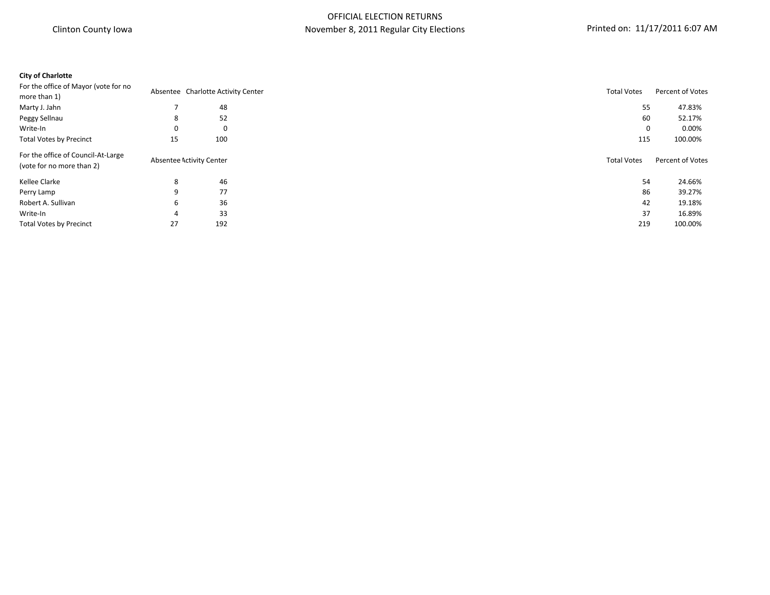### **City of Charlotte**

| For the office of Mayor (vote for no |    | Absentee Charlotte Activity Center | <b>Total Votes</b> | Percent of Votes |
|--------------------------------------|----|------------------------------------|--------------------|------------------|
| more than 1)                         |    |                                    |                    |                  |
| Marty J. Jahn                        |    | 48                                 | 55                 | 47.83%           |
| Peggy Sellnau                        | 8  | 52                                 | 60                 | 52.17%           |
| Write-In                             | 0  | 0                                  | 0                  | $0.00\%$         |
| <b>Total Votes by Precinct</b>       | 15 | 100                                | 115                | 100.00%          |
| For the office of Council-At-Large   |    |                                    |                    | Percent of Votes |
| (vote for no more than 2)            |    | Absentee Activity Center           | <b>Total Votes</b> |                  |
| Kellee Clarke                        | 8  | 46                                 | 54                 | 24.66%           |
| Perry Lamp                           |    | 77                                 | 86                 | 39.27%           |
| Robert A. Sullivan                   | ь  | 36                                 | 42                 | 19.18%           |
| Write-In                             |    | 33                                 | 37                 | 16.89%           |
| <b>Total Votes by Precinct</b>       | 27 | 192                                | 219                | 100.00%          |
|                                      |    |                                    |                    |                  |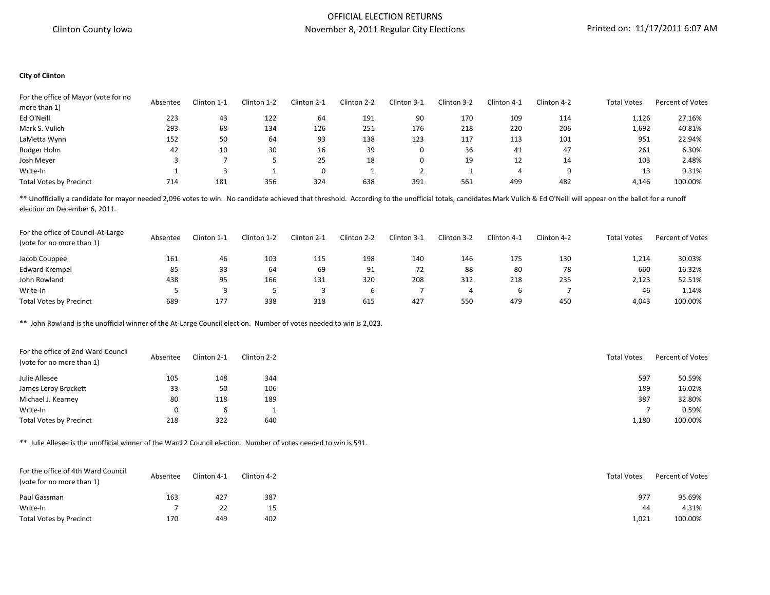#### OFFICIAL ELECTION RETURNS November 8, 2011 Regular City Elections Printed on: 11/17/2011 6:07 AM

#### **City of Clinton**

| For the office of Mayor (vote for no |          | Clinton 1-1 | Clinton 1-2 | Clinton 2-1 | Clinton 2-2 | Clinton 3-1 | Clinton 3-2 | Clinton 4-1 | Clinton 4-2 | <b>Total Votes</b> | <b>Percent of Votes</b> |
|--------------------------------------|----------|-------------|-------------|-------------|-------------|-------------|-------------|-------------|-------------|--------------------|-------------------------|
| more than 1)                         | Absentee |             |             |             |             |             |             |             |             |                    |                         |
| Ed O'Neill                           | 223      | 43          | 122         | 64          | 191         | 90          | 170         | 109         | 114         | 1,126              | 27.16%                  |
| Mark S. Vulich                       | 293      | 68          | 134         | 126         | 251         | 176         | 218         | 220         | 206         | 1,692              | 40.81%                  |
| LaMetta Wynn                         | 152      | 50          | 64          | 93          | 138         | 123         | 117         | 113         | 101         | 951                | 22.94%                  |
| Rodger Holm                          | 42       | 10          | 30          | 16          | 39          | 0           | 36          | 41          | 47          | 261                | 6.30%                   |
| Josh Meyer                           |          |             |             | 25          | 18          | 0           | 19          | 12          | 14          | 103                | 2.48%                   |
| Write-In                             |          |             |             |             |             |             |             | 4           |             | 13                 | 0.31%                   |
| <b>Total Votes by Precinct</b>       | 714      | 181         | 356         | 324         | 638         | 391         | 561         | 499         | 482         | 4.146              | 100.00%                 |

\*\* Unofficially a candidate for mayor needed 2,096 votes to win. No candidate achieved that threshold. According to the unofficial totals, candidates Mark Vulich & Ed O'Neill will appear on the ballot for a runoff election on December 6, 2011.

| For the office of Council-At-Large<br>(vote for no more than 1) | Absentee | Clinton 1-1 | Clinton 1-2 | Clinton 2-1 | Clinton 2-2 | Clinton 3-1 | Clinton 3-2 | Clinton 4-1 | Clinton 4-2 | <b>Total Votes</b> | Percent of Votes |
|-----------------------------------------------------------------|----------|-------------|-------------|-------------|-------------|-------------|-------------|-------------|-------------|--------------------|------------------|
| Jacob Couppee                                                   | 161      | 46          | 103         | 115         | 198         | 140         | 146         | 175         | 130         | 1,214              | 30.03%           |
| <b>Edward Krempel</b>                                           | 85       | 33          | 64          | 69          | 91          | 72          | 88          | 80          | 78          | 660                | 16.32%           |
| John Rowland                                                    | 438      | 95          | 166         | 131         | 320         | 208         | 312         | 218         | 235         | 2,123              | 52.51%           |
| Write-In                                                        |          |             |             |             |             |             |             | b           |             | 46                 | 1.14%            |
| <b>Total Votes by Precinct</b>                                  | 689      | 177         | 338         | 318         | 615         | 427         | 550         | 479         | 450         | 4,043              | 100.00%          |

\*\* John Rowland is the unofficial winner of the At-Large Council election. Number of votes needed to win is 2,023.

| For the office of 2nd Ward Council<br>(vote for no more than 1) | Absentee | Clinton 2-1 | Clinton 2-2 | <b>Total Votes</b> | Percent of Votes |
|-----------------------------------------------------------------|----------|-------------|-------------|--------------------|------------------|
| Julie Allesee                                                   | 105      | 148         | 344         | 597                | 50.59%           |
| James Leroy Brockett                                            | 33       | 50          | 106         | 189                | 16.02%           |
| Michael J. Kearney                                              | 80       | 118         | 189         | 387                | 32.80%           |
| Write-In                                                        | 0        | b           |             |                    | 0.59%            |
| <b>Total Votes by Precinct</b>                                  | 218      | 322         | 640         | 1,180              | 100.00%          |

\*\* Julie Allesee is the unofficial winner of the Ward 2 Council election. Number of votes needed to win is 591.

| For the office of 4th Ward Council<br>(vote for no more than 1) | Absentee | Clinton 4-1 | $\cap$ linton 4-2 | <b>Total Votes</b> | Percent of Votes |
|-----------------------------------------------------------------|----------|-------------|-------------------|--------------------|------------------|
| Paul Gassman                                                    | 163      | 427         | 387               | 977                | 95.69%           |
| Write-In                                                        |          | 22          | 15                | 44                 | 4.31%            |
| <b>Total Votes by Precinct</b>                                  | 170      | 449         | 402               | 1,021              | 100.00%          |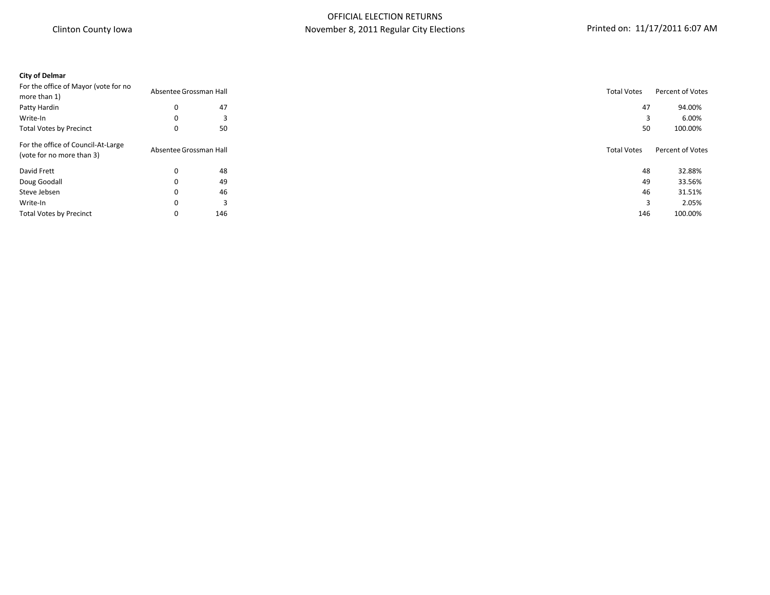# **City of Delmar** For the office of Mayor (vote for no or the online of major (recent of Votes Percent of Votes Absentee Grossman Hall Absentee Grossman Hall Absentee Grossman Hall Absentee Grossman Hall Absentee Grossman Hall Absentee Grossman Hall Absentee Grossman Hall Abse Patty Hardin 0 47 47 94.00% Write-In 0 3 3 6.00% Total Votes by Precinct and the community of the SO 50 50 50 50 50 100.00% of the state of the SO 50 50 50 100.00% For the office of Council-At-Large (vote for an our of voltage of voltage and votes and votes and votes and votes of Votes Percent of Votes Percent of Votes Absentee Grossman Hall Total Votes Percent of Votes Absentee Grossman Hall Total Votes Percent of Vo David Frett 0 48 48 32.88% Doug Goodall 0 49 49 33.56% Steve Jebsen  $\hphantom{\text{a}}$  and  $\hphantom{\text{a}}$  0  $\hphantom{\text{a}}$  46  $\hphantom{\text{a}}$  31.51%  $\hphantom{\text{a}}$  31.51%  $\hphantom{\text{a}}$ Write-In 0 3 3 2.05% Total Votes by Precinct **100.00%** 100.00% 100.000 146 100.000 146 100.000 146 100.000 146 100.000 146 100.000 146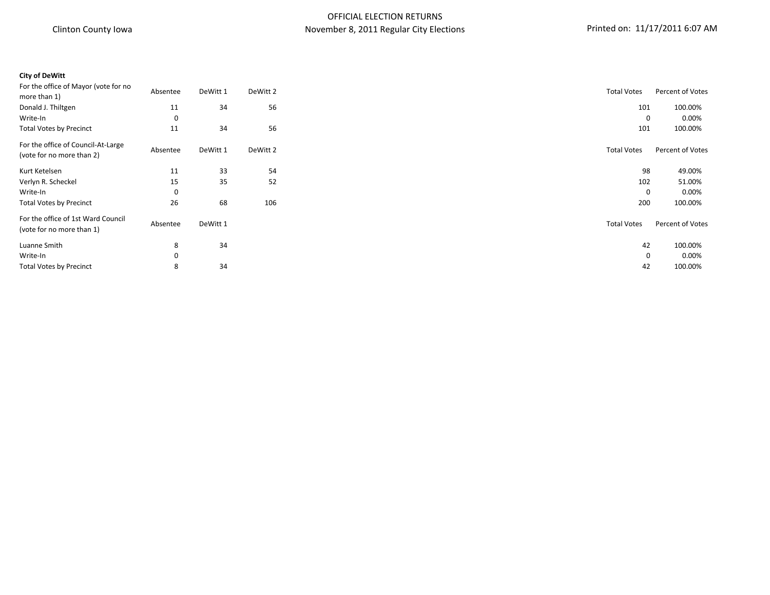| <b>City of DeWitt</b>                                           |          |          |          |                    |                  |
|-----------------------------------------------------------------|----------|----------|----------|--------------------|------------------|
| For the office of Mayor (vote for no<br>more than 1)            | Absentee | DeWitt 1 | DeWitt 2 | <b>Total Votes</b> | Percent of Votes |
| Donald J. Thiltgen                                              | 11       | 34       | 56       | 101                | 100.00%          |
| Write-In                                                        | $\Omega$ |          |          | 0                  |                  |
| <b>Total Votes by Precinct</b>                                  | 11       | 34       | 56       | 101                | 100.00%          |
| For the office of Council-At-Large<br>(vote for no more than 2) | Absentee | DeWitt 1 | DeWitt 2 | <b>Total Votes</b> | Percent of Votes |
| Kurt Ketelsen                                                   | 11       | 33       | 54       | 98                 | 49.00%           |
| Verlyn R. Scheckel                                              | 15       | 35       | 52       | 102                | 51.00%           |
| Write-In                                                        | $\Omega$ |          |          | 0                  |                  |
| <b>Total Votes by Precinct</b>                                  | 26       | 68       | 106      | 200                | 100.00%          |
| For the office of 1st Ward Council<br>(vote for no more than 1) | Absentee | DeWitt 1 |          | <b>Total Votes</b> | Percent of Votes |
| Luanne Smith                                                    | 8        | 34       |          | 42                 | 100.00%          |
| Write-In                                                        | $\Omega$ |          |          | 0                  |                  |
| <b>Total Votes by Precinct</b>                                  | 8        | 34       |          | 42                 | 100.00%          |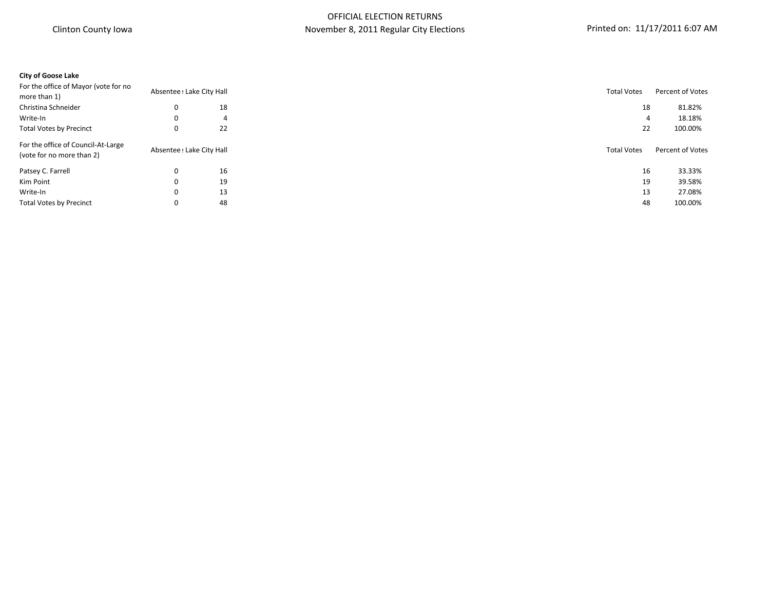#### **City of Goose Lake**

| For the office of Mayor (vote for no<br>more than 1)            | Absentee : Lake City Hall |    | <b>Total Votes</b> | Percent of Votes |
|-----------------------------------------------------------------|---------------------------|----|--------------------|------------------|
| Christina Schneider                                             | 0                         | 18 | 18                 | 81.82%           |
| Write-In                                                        | 0                         | 4  | 4                  | 18.18%           |
| <b>Total Votes by Precinct</b>                                  | 0                         | 22 | 22                 | 100.00%          |
| For the office of Council-At-Large<br>(vote for no more than 2) | Absentee ! Lake City Hall |    | <b>Total Votes</b> | Percent of Votes |
| Patsey C. Farrell                                               |                           | 16 | 16                 | 33.33%           |
| Kim Point                                                       | 0                         | 19 | 19                 | 39.58%           |
| Write-In                                                        | 0                         | 13 | 13                 | 27.08%           |
| <b>Total Votes by Precinct</b>                                  |                           | 48 | 48                 | 100.00%          |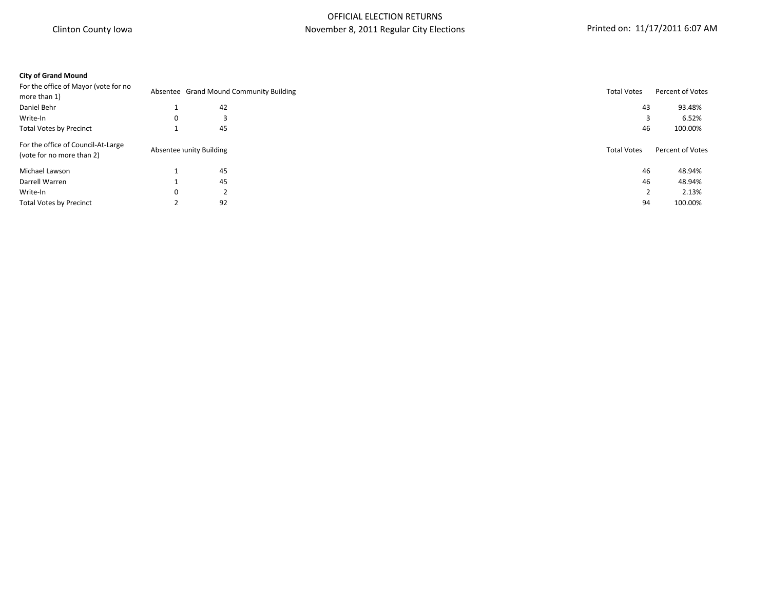### **City of Grand Mound**

| For the office of Mayor (vote for no                            |   |                         |                                         |                    | Percent of Votes |
|-----------------------------------------------------------------|---|-------------------------|-----------------------------------------|--------------------|------------------|
| more than 1)                                                    |   |                         | Absentee Grand Mound Community Building | <b>Total Votes</b> |                  |
| Daniel Behr                                                     |   | 42                      |                                         | 43                 | 93.48%           |
| Write-In                                                        | 0 |                         |                                         |                    | 6.52%            |
| <b>Total Votes by Precinct</b>                                  |   | 45                      |                                         | 46                 | 100.00%          |
| For the office of Council-At-Large<br>(vote for no more than 2) |   | Absentee unity Building |                                         | <b>Total Votes</b> | Percent of Votes |
| Michael Lawson                                                  |   | 45                      |                                         | 46                 | 48.94%           |
| Darrell Warren                                                  |   | 45                      |                                         | 46                 | 48.94%           |
| Write-In                                                        | 0 | 2                       |                                         |                    | 2.13%            |
| <b>Total Votes by Precinct</b>                                  |   | 92                      |                                         | 94                 | 100.00%          |
|                                                                 |   |                         |                                         |                    |                  |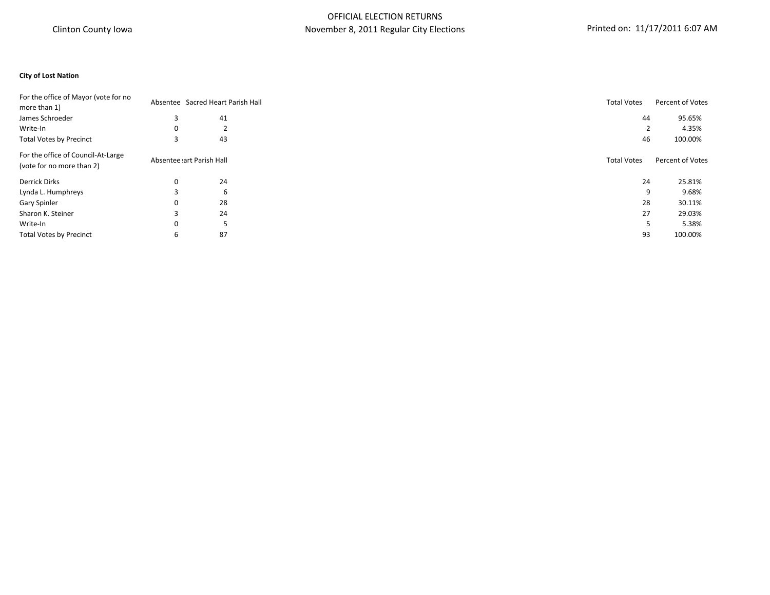#### **City of Lost Nation**

|          |    |                          | Percent of Votes                                                                                 |
|----------|----|--------------------------|--------------------------------------------------------------------------------------------------|
|          |    |                          |                                                                                                  |
|          | 41 |                          | 95.65%                                                                                           |
| $\Omega$ | ∠  |                          | 4.35%                                                                                            |
|          | 43 |                          | 100.00%                                                                                          |
|          |    | <b>Total Votes</b>       | Percent of Votes                                                                                 |
| 0        | 24 |                          | 25.81%                                                                                           |
|          | 6  |                          | 9.68%                                                                                            |
| 0        | 28 |                          | 30.11%                                                                                           |
|          | 24 |                          | 29.03%                                                                                           |
| 0        |    |                          | 5.38%                                                                                            |
| b        | 87 |                          | 100.00%                                                                                          |
|          |    | Absentee art Parish Hall | Absentee Sacred Heart Parish Hall<br><b>Total Votes</b><br>44<br>46<br>24<br>9<br>28<br>27<br>93 |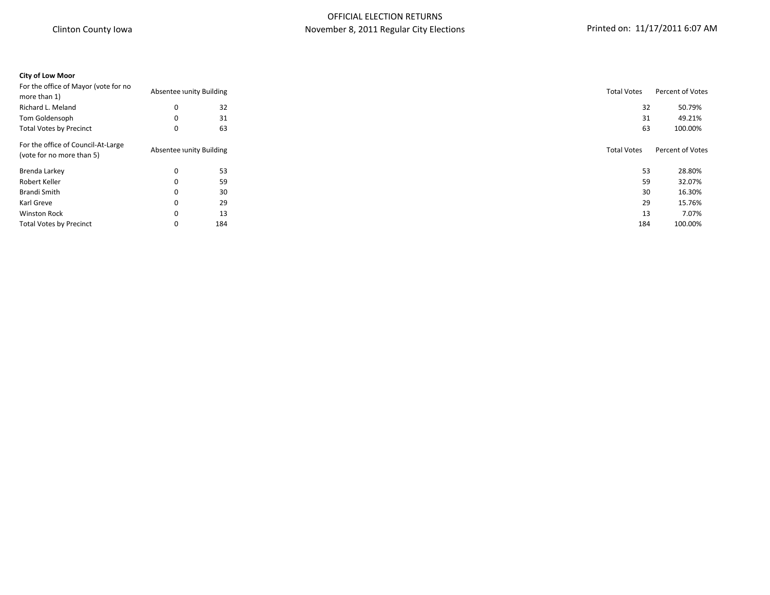### **City of Low Moor**

|   |     |                                                    | Percent of Votes                                                          |
|---|-----|----------------------------------------------------|---------------------------------------------------------------------------|
|   |     |                                                    |                                                                           |
| 0 | 32  |                                                    | 50.79%                                                                    |
| 0 | 31  |                                                    | 49.21%                                                                    |
| 0 | 63  |                                                    | 100.00%                                                                   |
|   |     | <b>Total Votes</b>                                 | Percent of Votes                                                          |
| 0 | 53  |                                                    | 28.80%                                                                    |
| 0 | 59  |                                                    | 32.07%                                                                    |
|   | 30  |                                                    | 16.30%                                                                    |
| 0 | 29  |                                                    | 15.76%                                                                    |
| 0 | 13  |                                                    | 7.07%                                                                     |
|   | 184 |                                                    | 100.00%                                                                   |
|   |     | Absentee unity Building<br>Absentee unity Building | <b>Total Votes</b><br>32<br>31<br>63<br>53<br>59<br>30<br>29<br>13<br>184 |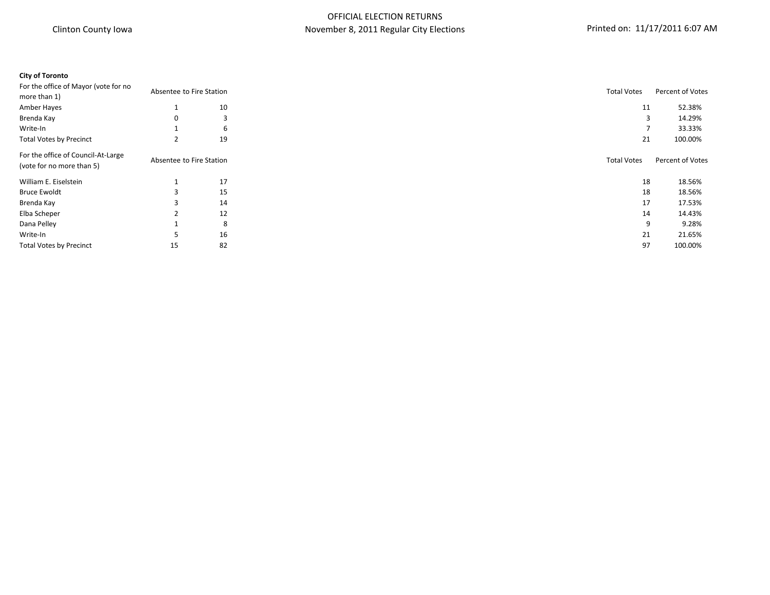# **City of Toronto**

| For the office of Mayor (vote for no                            | Absentee to Fire Station |    | <b>Total Votes</b> | Percent of Votes |
|-----------------------------------------------------------------|--------------------------|----|--------------------|------------------|
| more than 1)                                                    |                          |    |                    |                  |
| Amber Hayes                                                     |                          | 10 | 11                 | 52.38%           |
| Brenda Kay                                                      | 0                        | 3  | 3                  | 14.29%           |
| Write-In                                                        |                          | 6  |                    | 33.33%           |
| <b>Total Votes by Precinct</b>                                  |                          | 19 | 21                 | 100.00%          |
| For the office of Council-At-Large<br>(vote for no more than 5) | Absentee to Fire Station |    | <b>Total Votes</b> | Percent of Votes |
| William E. Eiselstein                                           |                          | 17 | 18                 | 18.56%           |
| <b>Bruce Ewoldt</b>                                             |                          | 15 | 18                 | 18.56%           |
| Brenda Kay                                                      |                          | 14 | 17                 | 17.53%           |
| Elba Scheper                                                    |                          | 12 | 14                 | 14.43%           |
| Dana Pelley                                                     |                          | 8  | 9                  | 9.28%            |
| Write-In                                                        |                          | 16 | 21                 | 21.65%           |
| <b>Total Votes by Precinct</b>                                  | 15                       | 82 | 97                 | 100.00%          |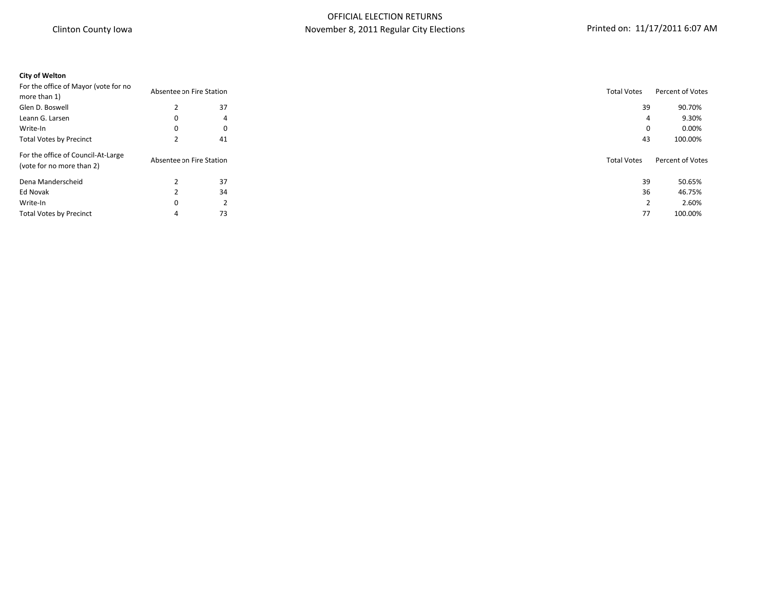# **City of Welton**

| For the office of Mayor (vote for no<br>Absentee on Fire Station |                          |    | <b>Total Votes</b> | Percent of Votes |
|------------------------------------------------------------------|--------------------------|----|--------------------|------------------|
| more than 1)                                                     |                          |    |                    |                  |
| Glen D. Boswell                                                  |                          | 37 | 39                 | 90.70%           |
| Leann G. Larsen                                                  | 0                        | 4  | 4                  | 9.30%            |
| Write-In                                                         | 0                        | 0  | 0                  | 0.00%            |
| <b>Total Votes by Precinct</b>                                   |                          | 41 | 43                 | 100.00%          |
| For the office of Council-At-Large<br>(vote for no more than 2)  | Absentee on Fire Station |    | <b>Total Votes</b> | Percent of Votes |
| Dena Manderscheid                                                |                          | 37 | 39                 | 50.65%           |
| Ed Novak                                                         |                          | 34 | 36                 | 46.75%           |
| Write-In                                                         | 0                        | 2  |                    | 2.60%            |
| <b>Total Votes by Precinct</b>                                   | 4                        | 73 | 77                 | 100.00%          |
|                                                                  |                          |    |                    |                  |